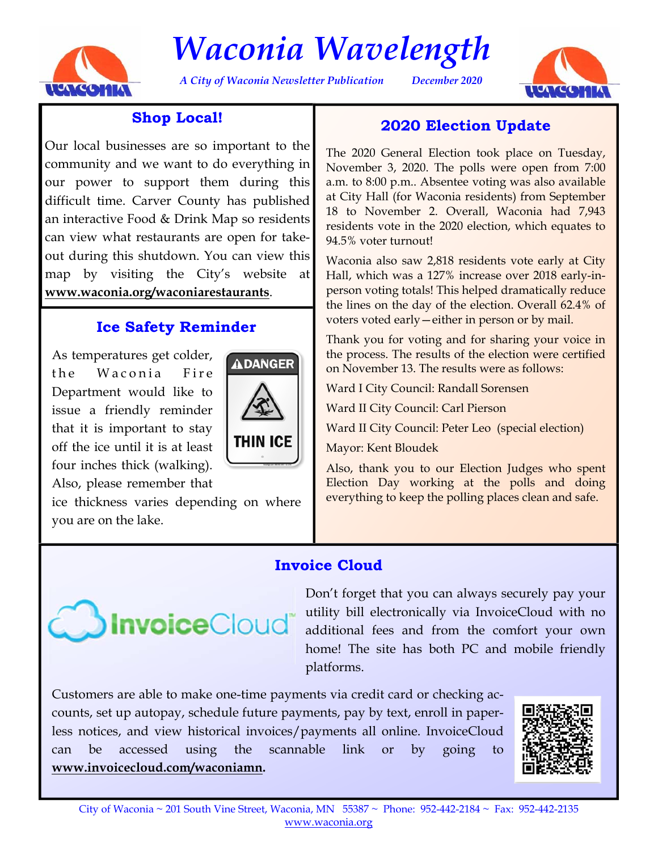

# *Waconia Wavelength*

*A City of Waconia Newsletter Publication December 2020* 



## **Shop Local!**

Our local businesses are so important to the community and we want to do everything in our power to support them during this difficult time. Carver County has published an interactive Food & Drink Map so residents can view what restaurants are open for takeout during this shutdown. You can view this map by visiting the City's website at **www.waconia.org/waconiarestaurants**.

## **Ice Safety Reminder**

As temperatures get colder, the Waconia Fire Department would like to issue a friendly reminder that it is important to stay off the ice until it is at least four inches thick (walking). Also, please remember that



ice thickness varies depending on where you are on the lake.

## **2020 Election Update**

The 2020 General Election took place on Tuesday, November 3, 2020. The polls were open from 7:00 a.m. to 8:00 p.m.. Absentee voting was also available at City Hall (for Waconia residents) from September 18 to November 2. Overall, Waconia had 7,943 residents vote in the 2020 election, which equates to 94.5% voter turnout!

Waconia also saw 2,818 residents vote early at City Hall, which was a 127% increase over 2018 early-inperson voting totals! This helped dramatically reduce the lines on the day of the election. Overall 62.4% of voters voted early—either in person or by mail.

Thank you for voting and for sharing your voice in the process. The results of the election were certified on November 13. The results were as follows:

Ward I City Council: Randall Sorensen

Ward II City Council: Carl Pierson

Ward II City Council: Peter Leo (special election)

Mayor: Kent Bloudek

Also, thank you to our Election Judges who spent Election Day working at the polls and doing everything to keep the polling places clean and safe.

## **Invoice Cloud**



Don't forget that you can always securely pay your utility bill electronically via InvoiceCloud with no additional fees and from the comfort your own home! The site has both PC and mobile friendly platforms.

Customers are able to make one-time payments via credit card or checking accounts, set up autopay, schedule future payments, pay by text, enroll in paperless notices, and view historical invoices/payments all online. InvoiceCloud can be accessed using the scannable link or by going to **www.invoicecloud.com/waconiamn.**